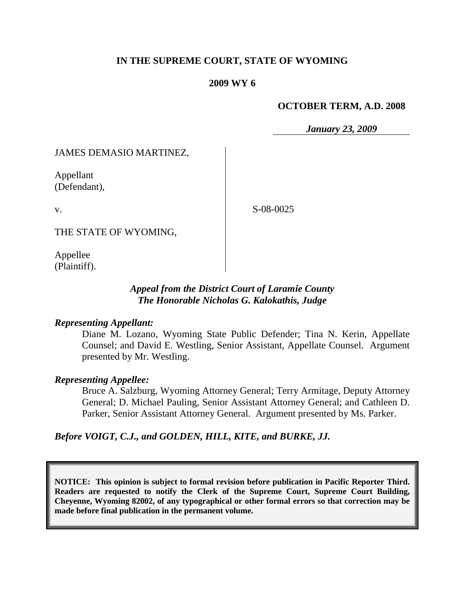# **IN THE SUPREME COURT, STATE OF WYOMING**

## **2009 WY 6**

## **OCTOBER TERM, A.D. 2008**

*January 23, 2009*

JAMES DEMASIO MARTINEZ,

Appellant (Defendant),

v.

S-08-0025

THE STATE OF WYOMING,

Appellee (Plaintiff).

## *Appeal from the District Court of Laramie County The Honorable Nicholas G. Kalokathis, Judge*

## *Representing Appellant:*

Diane M. Lozano, Wyoming State Public Defender; Tina N. Kerin, Appellate Counsel; and David E. Westling, Senior Assistant, Appellate Counsel. Argument presented by Mr. Westling.

### *Representing Appellee:*

Bruce A. Salzburg, Wyoming Attorney General; Terry Armitage, Deputy Attorney General; D. Michael Pauling, Senior Assistant Attorney General; and Cathleen D. Parker, Senior Assistant Attorney General. Argument presented by Ms. Parker.

*Before VOIGT, C.J., and GOLDEN, HILL, KITE, and BURKE, JJ.*

**NOTICE: This opinion is subject to formal revision before publication in Pacific Reporter Third. Readers are requested to notify the Clerk of the Supreme Court, Supreme Court Building, Cheyenne, Wyoming 82002, of any typographical or other formal errors so that correction may be made before final publication in the permanent volume.**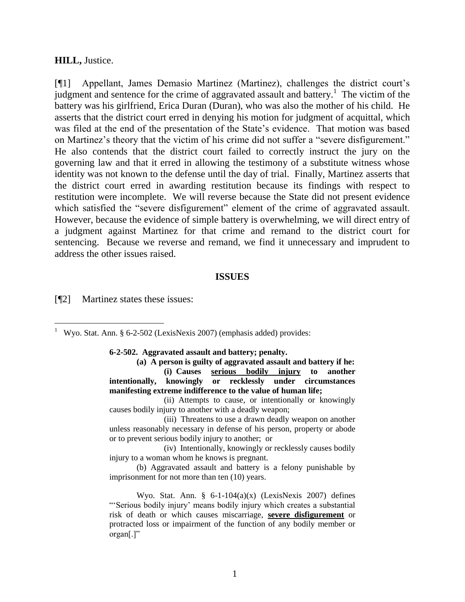#### **HILL,** Justice.

[¶1] Appellant, James Demasio Martinez (Martinez), challenges the district court"s judgment and sentence for the crime of aggravated assault and battery.<sup>1</sup> The victim of the battery was his girlfriend, Erica Duran (Duran), who was also the mother of his child. He asserts that the district court erred in denying his motion for judgment of acquittal, which was filed at the end of the presentation of the State's evidence. That motion was based on Martinez's theory that the victim of his crime did not suffer a "severe disfigurement." He also contends that the district court failed to correctly instruct the jury on the governing law and that it erred in allowing the testimony of a substitute witness whose identity was not known to the defense until the day of trial. Finally, Martinez asserts that the district court erred in awarding restitution because its findings with respect to restitution were incomplete. We will reverse because the State did not present evidence which satisfied the "severe disfigurement" element of the crime of aggravated assault. However, because the evidence of simple battery is overwhelming, we will direct entry of a judgment against Martinez for that crime and remand to the district court for sentencing. Because we reverse and remand, we find it unnecessary and imprudent to address the other issues raised.

#### **ISSUES**

[¶2] Martinez states these issues:

<sup>1</sup> Wyo. Stat. Ann. § 6-2-502 (LexisNexis 2007) (emphasis added) provides:

**6-2-502. Aggravated assault and battery; penalty.**

**(a) A person is guilty of aggravated assault and battery if he: (i) Causes serious bodily injury to another intentionally, knowingly or recklessly under circumstances manifesting extreme indifference to the value of human life;**

(ii) Attempts to cause, or intentionally or knowingly causes bodily injury to another with a deadly weapon;

(iii) Threatens to use a drawn deadly weapon on another unless reasonably necessary in defense of his person, property or abode or to prevent serious bodily injury to another; or

(iv) Intentionally, knowingly or recklessly causes bodily injury to a woman whom he knows is pregnant.

(b) Aggravated assault and battery is a felony punishable by imprisonment for not more than ten (10) years.

Wyo. Stat. Ann.  $\S$  6-1-104(a)(x) (LexisNexis 2007) defines ""Serious bodily injury" means bodily injury which creates a substantial risk of death or which causes miscarriage, **severe disfigurement** or protracted loss or impairment of the function of any bodily member or organ[.]"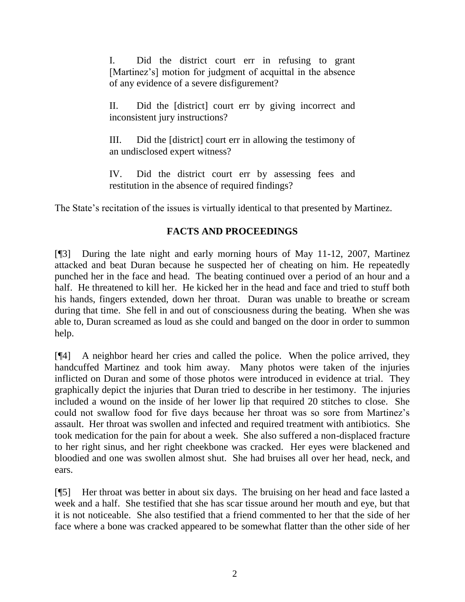I. Did the district court err in refusing to grant [Martinez's] motion for judgment of acquittal in the absence of any evidence of a severe disfigurement?

II. Did the [district] court err by giving incorrect and inconsistent jury instructions?

III. Did the [district] court err in allowing the testimony of an undisclosed expert witness?

IV. Did the district court err by assessing fees and restitution in the absence of required findings?

The State's recitation of the issues is virtually identical to that presented by Martinez.

# **FACTS AND PROCEEDINGS**

[¶3] During the late night and early morning hours of May 11-12, 2007, Martinez attacked and beat Duran because he suspected her of cheating on him. He repeatedly punched her in the face and head. The beating continued over a period of an hour and a half. He threatened to kill her. He kicked her in the head and face and tried to stuff both his hands, fingers extended, down her throat. Duran was unable to breathe or scream during that time. She fell in and out of consciousness during the beating. When she was able to, Duran screamed as loud as she could and banged on the door in order to summon help.

[¶4] A neighbor heard her cries and called the police. When the police arrived, they handcuffed Martinez and took him away. Many photos were taken of the injuries inflicted on Duran and some of those photos were introduced in evidence at trial. They graphically depict the injuries that Duran tried to describe in her testimony. The injuries included a wound on the inside of her lower lip that required 20 stitches to close. She could not swallow food for five days because her throat was so sore from Martinez"s assault. Her throat was swollen and infected and required treatment with antibiotics. She took medication for the pain for about a week. She also suffered a non-displaced fracture to her right sinus, and her right cheekbone was cracked. Her eyes were blackened and bloodied and one was swollen almost shut. She had bruises all over her head, neck, and ears.

[¶5] Her throat was better in about six days. The bruising on her head and face lasted a week and a half. She testified that she has scar tissue around her mouth and eye, but that it is not noticeable. She also testified that a friend commented to her that the side of her face where a bone was cracked appeared to be somewhat flatter than the other side of her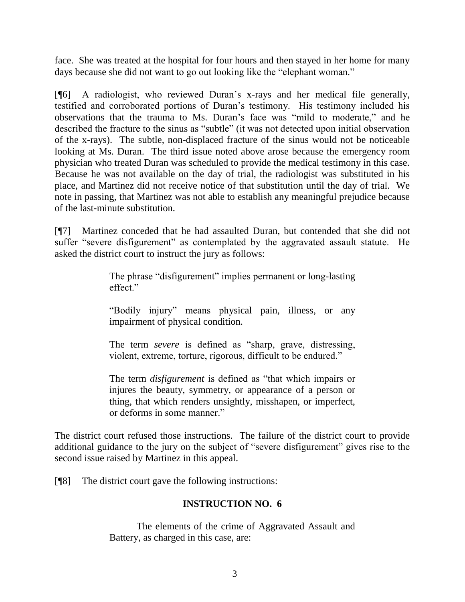face. She was treated at the hospital for four hours and then stayed in her home for many days because she did not want to go out looking like the "elephant woman."

[¶6] A radiologist, who reviewed Duran"s x-rays and her medical file generally, testified and corroborated portions of Duran"s testimony. His testimony included his observations that the trauma to Ms. Duran"s face was "mild to moderate," and he described the fracture to the sinus as "subtle" (it was not detected upon initial observation of the x-rays). The subtle, non-displaced fracture of the sinus would not be noticeable looking at Ms. Duran. The third issue noted above arose because the emergency room physician who treated Duran was scheduled to provide the medical testimony in this case. Because he was not available on the day of trial, the radiologist was substituted in his place, and Martinez did not receive notice of that substitution until the day of trial. We note in passing, that Martinez was not able to establish any meaningful prejudice because of the last-minute substitution.

[¶7] Martinez conceded that he had assaulted Duran, but contended that she did not suffer "severe disfigurement" as contemplated by the aggravated assault statute. He asked the district court to instruct the jury as follows:

> The phrase "disfigurement" implies permanent or long-lasting effect."

> "Bodily injury" means physical pain, illness, or any impairment of physical condition.

> The term *severe* is defined as "sharp, grave, distressing, violent, extreme, torture, rigorous, difficult to be endured."

> The term *disfigurement* is defined as "that which impairs or injures the beauty, symmetry, or appearance of a person or thing, that which renders unsightly, misshapen, or imperfect, or deforms in some manner."

The district court refused those instructions. The failure of the district court to provide additional guidance to the jury on the subject of "severe disfigurement" gives rise to the second issue raised by Martinez in this appeal.

[¶8] The district court gave the following instructions:

# **INSTRUCTION NO. 6**

The elements of the crime of Aggravated Assault and Battery, as charged in this case, are: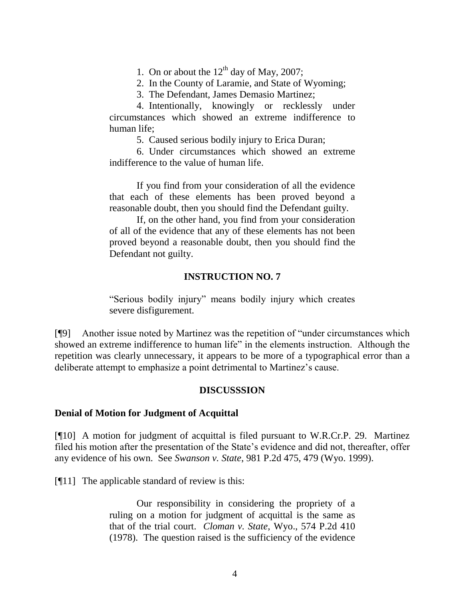1. On or about the  $12<sup>th</sup>$  day of May, 2007;

2. In the County of Laramie, and State of Wyoming;

3. The Defendant, James Demasio Martinez;

4. Intentionally, knowingly or recklessly under circumstances which showed an extreme indifference to human life;

5. Caused serious bodily injury to Erica Duran;

6. Under circumstances which showed an extreme indifference to the value of human life.

If you find from your consideration of all the evidence that each of these elements has been proved beyond a reasonable doubt, then you should find the Defendant guilty.

If, on the other hand, you find from your consideration of all of the evidence that any of these elements has not been proved beyond a reasonable doubt, then you should find the Defendant not guilty.

## **INSTRUCTION NO. 7**

"Serious bodily injury" means bodily injury which creates severe disfigurement.

[¶9] Another issue noted by Martinez was the repetition of "under circumstances which showed an extreme indifference to human life" in the elements instruction. Although the repetition was clearly unnecessary, it appears to be more of a typographical error than a deliberate attempt to emphasize a point detrimental to Martinez"s cause.

## **DISCUSSSION**

### **Denial of Motion for Judgment of Acquittal**

[¶10] A motion for judgment of acquittal is filed pursuant to W.R.Cr.P. 29. Martinez filed his motion after the presentation of the State's evidence and did not, thereafter, offer any evidence of his own. See *Swanson v. State*, 981 P.2d 475, 479 (Wyo. 1999).

[¶11] The applicable standard of review is this:

Our responsibility in considering the propriety of a ruling on a motion for judgment of acquittal is the same as that of the trial court. *Cloman v. State*, Wyo., 574 P.2d 410 (1978). The question raised is the sufficiency of the evidence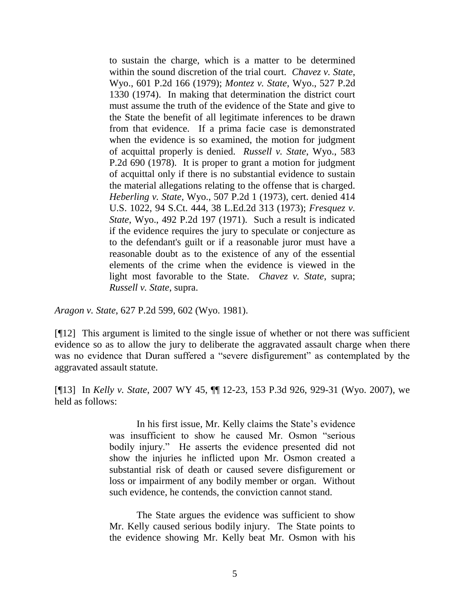to sustain the charge, which is a matter to be determined within the sound discretion of the trial court. *Chavez v. State*, Wyo., 601 P.2d 166 (1979); *Montez v. State*, Wyo., 527 P.2d 1330 (1974). In making that determination the district court must assume the truth of the evidence of the State and give to the State the benefit of all legitimate inferences to be drawn from that evidence. If a prima facie case is demonstrated when the evidence is so examined, the motion for judgment of acquittal properly is denied. *Russell v. State*, Wyo., 583 P.2d 690 (1978). It is proper to grant a motion for judgment of acquittal only if there is no substantial evidence to sustain the material allegations relating to the offense that is charged. *Heberling v. State*, Wyo., 507 P.2d 1 (1973), cert. denied 414 U.S. 1022, 94 S.Ct. 444, 38 L.Ed.2d 313 (1973); *Fresquez v. State*, Wyo., 492 P.2d 197 (1971). Such a result is indicated if the evidence requires the jury to speculate or conjecture as to the defendant's guilt or if a reasonable juror must have a reasonable doubt as to the existence of any of the essential elements of the crime when the evidence is viewed in the light most favorable to the State. *Chavez v. State*, supra; *Russell v. State*, supra.

*Aragon v. State*, 627 P.2d 599, 602 (Wyo. 1981).

[¶12] This argument is limited to the single issue of whether or not there was sufficient evidence so as to allow the jury to deliberate the aggravated assault charge when there was no evidence that Duran suffered a "severe disfigurement" as contemplated by the aggravated assault statute.

[¶13] In *Kelly v. State*, 2007 WY 45, ¶¶ 12-23, 153 P.3d 926, 929-31 (Wyo. 2007), we held as follows:

> In his first issue, Mr. Kelly claims the State"s evidence was insufficient to show he caused Mr. Osmon "serious bodily injury." He asserts the evidence presented did not show the injuries he inflicted upon Mr. Osmon created a substantial risk of death or caused severe disfigurement or loss or impairment of any bodily member or organ. Without such evidence, he contends, the conviction cannot stand.

> The State argues the evidence was sufficient to show Mr. Kelly caused serious bodily injury. The State points to the evidence showing Mr. Kelly beat Mr. Osmon with his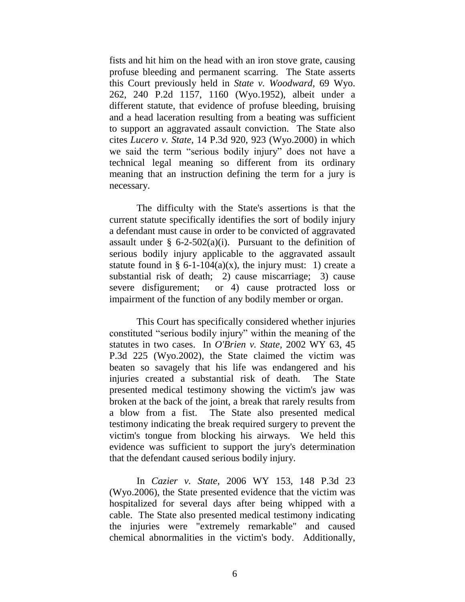fists and hit him on the head with an iron stove grate, causing profuse bleeding and permanent scarring. The State asserts this Court previously held in *State v. Woodward*, 69 Wyo. 262, 240 P.2d 1157, 1160 (Wyo.1952), albeit under a different statute, that evidence of profuse bleeding, bruising and a head laceration resulting from a beating was sufficient to support an aggravated assault conviction. The State also cites *Lucero v. State*, 14 P.3d 920, 923 (Wyo.2000) in which we said the term "serious bodily injury" does not have a technical legal meaning so different from its ordinary meaning that an instruction defining the term for a jury is necessary.

The difficulty with the State's assertions is that the current statute specifically identifies the sort of bodily injury a defendant must cause in order to be convicted of aggravated assault under §  $6-2-502(a)(i)$ . Pursuant to the definition of serious bodily injury applicable to the aggravated assault statute found in § 6-1-104(a)(x), the injury must: 1) create a substantial risk of death; 2) cause miscarriage; 3) cause severe disfigurement; or 4) cause protracted loss or impairment of the function of any bodily member or organ.

This Court has specifically considered whether injuries constituted "serious bodily injury" within the meaning of the statutes in two cases. In *O'Brien v. State*, 2002 WY 63, 45 P.3d 225 (Wyo.2002), the State claimed the victim was beaten so savagely that his life was endangered and his injuries created a substantial risk of death. The State presented medical testimony showing the victim's jaw was broken at the back of the joint, a break that rarely results from a blow from a fist. The State also presented medical testimony indicating the break required surgery to prevent the victim's tongue from blocking his airways. We held this evidence was sufficient to support the jury's determination that the defendant caused serious bodily injury.

In *Cazier v. State*, 2006 WY 153, 148 P.3d 23 (Wyo.2006), the State presented evidence that the victim was hospitalized for several days after being whipped with a cable. The State also presented medical testimony indicating the injuries were "extremely remarkable" and caused chemical abnormalities in the victim's body. Additionally,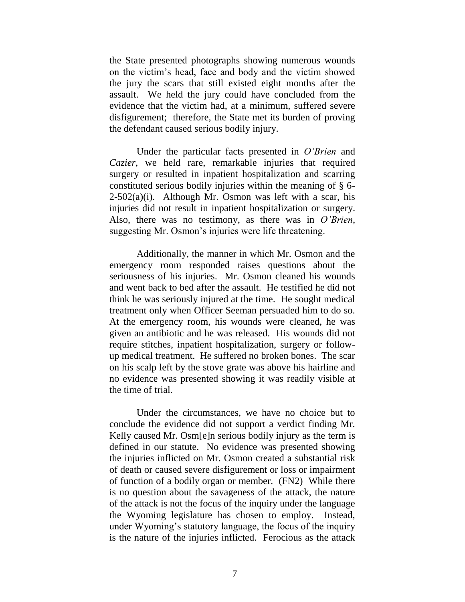the State presented photographs showing numerous wounds on the victim"s head, face and body and the victim showed the jury the scars that still existed eight months after the assault. We held the jury could have concluded from the evidence that the victim had, at a minimum, suffered severe disfigurement; therefore, the State met its burden of proving the defendant caused serious bodily injury.

Under the particular facts presented in *O'Brien* and *Cazier*, we held rare, remarkable injuries that required surgery or resulted in inpatient hospitalization and scarring constituted serious bodily injuries within the meaning of § 6-  $2-502(a)(i)$ . Although Mr. Osmon was left with a scar, his injuries did not result in inpatient hospitalization or surgery. Also, there was no testimony, as there was in *O'Brien*, suggesting Mr. Osmon's injuries were life threatening.

Additionally, the manner in which Mr. Osmon and the emergency room responded raises questions about the seriousness of his injuries. Mr. Osmon cleaned his wounds and went back to bed after the assault. He testified he did not think he was seriously injured at the time. He sought medical treatment only when Officer Seeman persuaded him to do so. At the emergency room, his wounds were cleaned, he was given an antibiotic and he was released. His wounds did not require stitches, inpatient hospitalization, surgery or followup medical treatment. He suffered no broken bones. The scar on his scalp left by the stove grate was above his hairline and no evidence was presented showing it was readily visible at the time of trial.

Under the circumstances, we have no choice but to conclude the evidence did not support a verdict finding Mr. Kelly caused Mr. Osm[e]n serious bodily injury as the term is defined in our statute. No evidence was presented showing the injuries inflicted on Mr. Osmon created a substantial risk of death or caused severe disfigurement or loss or impairment of function of a bodily organ or member. (FN2) While there is no question about the savageness of the attack, the nature of the attack is not the focus of the inquiry under the language the Wyoming legislature has chosen to employ. Instead, under Wyoming"s statutory language, the focus of the inquiry is the nature of the injuries inflicted. Ferocious as the attack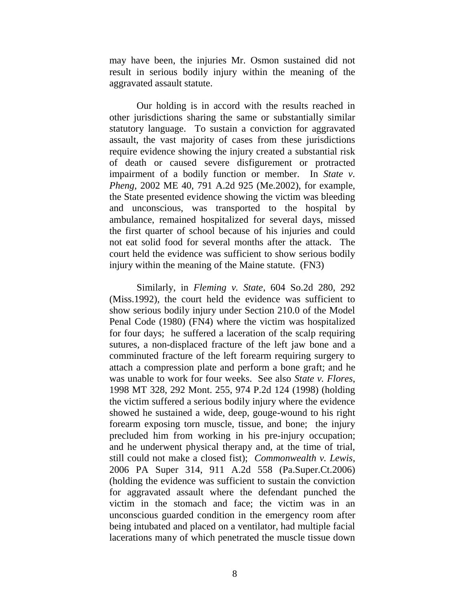may have been, the injuries Mr. Osmon sustained did not result in serious bodily injury within the meaning of the aggravated assault statute.

Our holding is in accord with the results reached in other jurisdictions sharing the same or substantially similar statutory language. To sustain a conviction for aggravated assault, the vast majority of cases from these jurisdictions require evidence showing the injury created a substantial risk of death or caused severe disfigurement or protracted impairment of a bodily function or member. In *State v. Pheng*, 2002 ME 40, 791 A.2d 925 (Me.2002), for example, the State presented evidence showing the victim was bleeding and unconscious, was transported to the hospital by ambulance, remained hospitalized for several days, missed the first quarter of school because of his injuries and could not eat solid food for several months after the attack. The court held the evidence was sufficient to show serious bodily injury within the meaning of the Maine statute. (FN3)

Similarly, in *Fleming v. State*, 604 So.2d 280, 292 (Miss.1992), the court held the evidence was sufficient to show serious bodily injury under Section 210.0 of the Model Penal Code (1980) (FN4) where the victim was hospitalized for four days; he suffered a laceration of the scalp requiring sutures, a non-displaced fracture of the left jaw bone and a comminuted fracture of the left forearm requiring surgery to attach a compression plate and perform a bone graft; and he was unable to work for four weeks. See also *State v. Flores*, 1998 MT 328, 292 Mont. 255, 974 P.2d 124 (1998) (holding the victim suffered a serious bodily injury where the evidence showed he sustained a wide, deep, gouge-wound to his right forearm exposing torn muscle, tissue, and bone; the injury precluded him from working in his pre-injury occupation; and he underwent physical therapy and, at the time of trial, still could not make a closed fist); *Commonwealth v. Lewis*, 2006 PA Super 314, 911 A.2d 558 (Pa.Super.Ct.2006) (holding the evidence was sufficient to sustain the conviction for aggravated assault where the defendant punched the victim in the stomach and face; the victim was in an unconscious guarded condition in the emergency room after being intubated and placed on a ventilator, had multiple facial lacerations many of which penetrated the muscle tissue down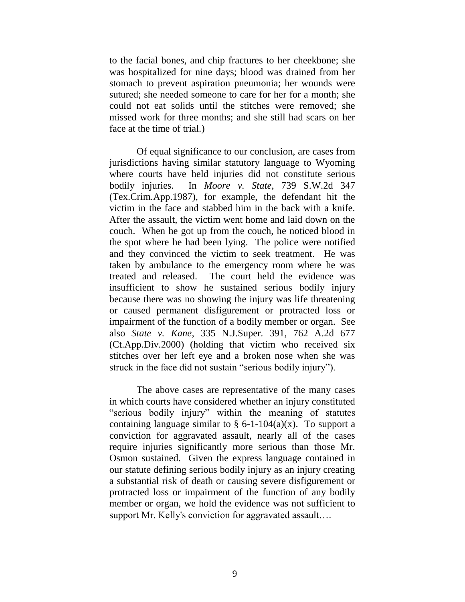to the facial bones, and chip fractures to her cheekbone; she was hospitalized for nine days; blood was drained from her stomach to prevent aspiration pneumonia; her wounds were sutured; she needed someone to care for her for a month; she could not eat solids until the stitches were removed; she missed work for three months; and she still had scars on her face at the time of trial.)

Of equal significance to our conclusion, are cases from jurisdictions having similar statutory language to Wyoming where courts have held injuries did not constitute serious bodily injuries. In *Moore v. State*, 739 S.W.2d 347 (Tex.Crim.App.1987), for example, the defendant hit the victim in the face and stabbed him in the back with a knife. After the assault, the victim went home and laid down on the couch. When he got up from the couch, he noticed blood in the spot where he had been lying. The police were notified and they convinced the victim to seek treatment. He was taken by ambulance to the emergency room where he was treated and released. The court held the evidence was insufficient to show he sustained serious bodily injury because there was no showing the injury was life threatening or caused permanent disfigurement or protracted loss or impairment of the function of a bodily member or organ. See also *State v. Kane*, 335 N.J.Super. 391, 762 A.2d 677 (Ct.App.Div.2000) (holding that victim who received six stitches over her left eye and a broken nose when she was struck in the face did not sustain "serious bodily injury").

The above cases are representative of the many cases in which courts have considered whether an injury constituted "serious bodily injury" within the meaning of statutes containing language similar to  $\S$  6-1-104(a)(x). To support a conviction for aggravated assault, nearly all of the cases require injuries significantly more serious than those Mr. Osmon sustained. Given the express language contained in our statute defining serious bodily injury as an injury creating a substantial risk of death or causing severe disfigurement or protracted loss or impairment of the function of any bodily member or organ, we hold the evidence was not sufficient to support Mr. Kelly's conviction for aggravated assault….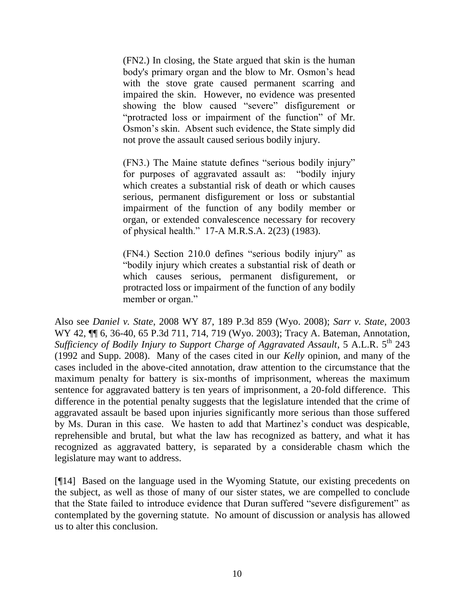(FN2.) In closing, the State argued that skin is the human body's primary organ and the blow to Mr. Osmon's head with the stove grate caused permanent scarring and impaired the skin. However, no evidence was presented showing the blow caused "severe" disfigurement or "protracted loss or impairment of the function" of Mr. Osmon"s skin. Absent such evidence, the State simply did not prove the assault caused serious bodily injury.

(FN3.) The Maine statute defines "serious bodily injury" for purposes of aggravated assault as: "bodily injury which creates a substantial risk of death or which causes serious, permanent disfigurement or loss or substantial impairment of the function of any bodily member or organ, or extended convalescence necessary for recovery of physical health." 17-A M.R.S.A. 2(23) (1983).

(FN4.) Section 210.0 defines "serious bodily injury" as "bodily injury which creates a substantial risk of death or which causes serious, permanent disfigurement, or protracted loss or impairment of the function of any bodily member or organ."

Also see *Daniel v. State*, 2008 WY 87, 189 P.3d 859 (Wyo. 2008); *Sarr v. State*, 2003 WY 42, ¶¶ 6, 36-40, 65 P.3d 711, 714, 719 (Wyo. 2003); Tracy A. Bateman, Annotation, *Sufficiency of Bodily Injury to Support Charge of Aggravated Assault*, 5 A.L.R. 5<sup>th</sup> 243 (1992 and Supp. 2008). Many of the cases cited in our *Kelly* opinion, and many of the cases included in the above-cited annotation, draw attention to the circumstance that the maximum penalty for battery is six-months of imprisonment, whereas the maximum sentence for aggravated battery is ten years of imprisonment, a 20-fold difference. This difference in the potential penalty suggests that the legislature intended that the crime of aggravated assault be based upon injuries significantly more serious than those suffered by Ms. Duran in this case. We hasten to add that Martinez"s conduct was despicable, reprehensible and brutal, but what the law has recognized as battery, and what it has recognized as aggravated battery, is separated by a considerable chasm which the legislature may want to address.

[¶14] Based on the language used in the Wyoming Statute, our existing precedents on the subject, as well as those of many of our sister states, we are compelled to conclude that the State failed to introduce evidence that Duran suffered "severe disfigurement" as contemplated by the governing statute. No amount of discussion or analysis has allowed us to alter this conclusion.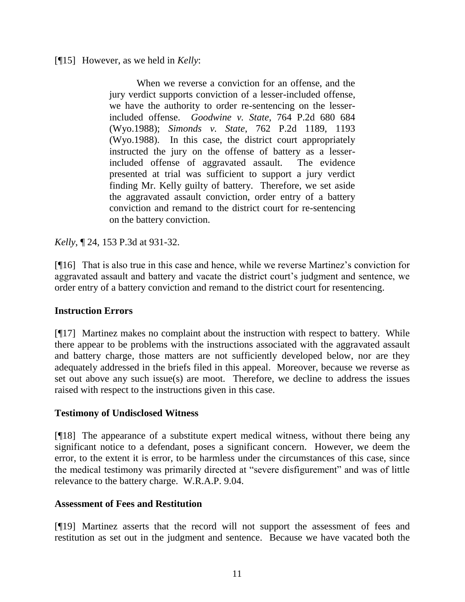## [¶15] However, as we held in *Kelly*:

When we reverse a conviction for an offense, and the jury verdict supports conviction of a lesser-included offense, we have the authority to order re-sentencing on the lesserincluded offense. *Goodwine v. State*, 764 P.2d 680 684 (Wyo.1988); *Simonds v. State*, 762 P.2d 1189, 1193 (Wyo.1988). In this case, the district court appropriately instructed the jury on the offense of battery as a lesserincluded offense of aggravated assault. The evidence presented at trial was sufficient to support a jury verdict finding Mr. Kelly guilty of battery. Therefore, we set aside the aggravated assault conviction, order entry of a battery conviction and remand to the district court for re-sentencing on the battery conviction.

*Kelly*, ¶ 24, 153 P.3d at 931-32.

[¶16] That is also true in this case and hence, while we reverse Martinez"s conviction for aggravated assault and battery and vacate the district court's judgment and sentence, we order entry of a battery conviction and remand to the district court for resentencing.

## **Instruction Errors**

[¶17] Martinez makes no complaint about the instruction with respect to battery. While there appear to be problems with the instructions associated with the aggravated assault and battery charge, those matters are not sufficiently developed below, nor are they adequately addressed in the briefs filed in this appeal. Moreover, because we reverse as set out above any such issue(s) are moot. Therefore, we decline to address the issues raised with respect to the instructions given in this case.

## **Testimony of Undisclosed Witness**

[¶18] The appearance of a substitute expert medical witness, without there being any significant notice to a defendant, poses a significant concern. However, we deem the error, to the extent it is error, to be harmless under the circumstances of this case, since the medical testimony was primarily directed at "severe disfigurement" and was of little relevance to the battery charge. W.R.A.P. 9.04.

## **Assessment of Fees and Restitution**

[¶19] Martinez asserts that the record will not support the assessment of fees and restitution as set out in the judgment and sentence. Because we have vacated both the